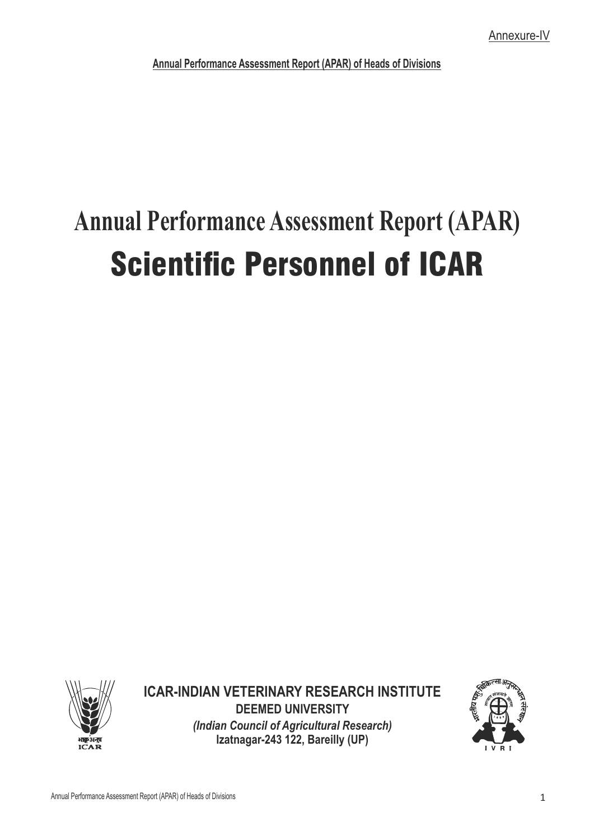# **Annual Performance Assessment Report (APAR) Scientific Personnel of ICAR**



**ICAR-INDIAN VETERINARY RESEARCH INSTITUTE DEEMED UNIVERSITY** *(Indian Council of Agricultural Research)* **Izatnagar-243 122, Bareilly (UP)**

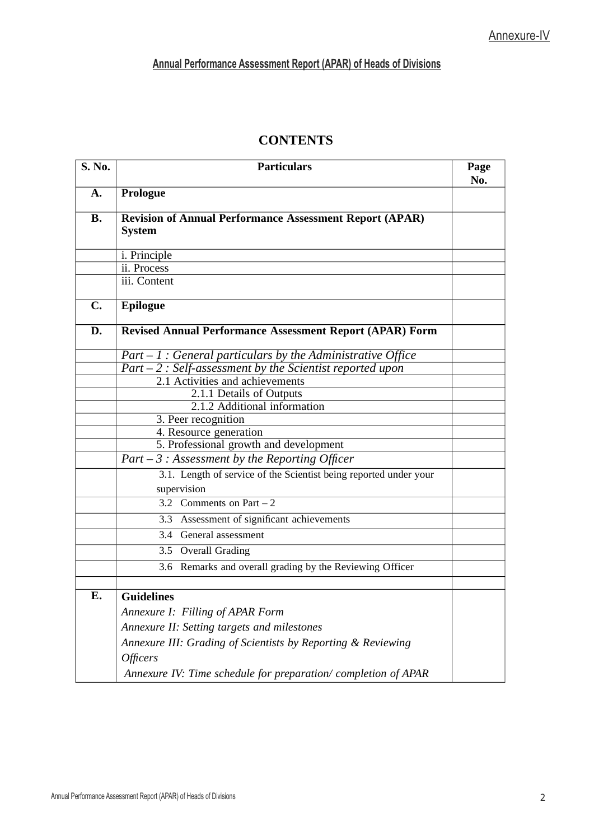| <b>CONTENTS</b> |
|-----------------|
|                 |

| <b>S. No.</b> | <b>Particulars</b>                                                                         | Page<br>No. |  |
|---------------|--------------------------------------------------------------------------------------------|-------------|--|
| A.            | Prologue                                                                                   |             |  |
| <b>B.</b>     | <b>Revision of Annual Performance Assessment Report (APAR)</b>                             |             |  |
|               | <b>System</b>                                                                              |             |  |
|               |                                                                                            |             |  |
|               | i. Principle<br>ii. Process                                                                |             |  |
|               | iii. Content                                                                               |             |  |
|               |                                                                                            |             |  |
| C.            | <b>Epilogue</b>                                                                            |             |  |
| D.            | Revised Annual Performance Assessment Report (APAR) Form                                   |             |  |
|               | $Part - 1$ : General particulars by the Administrative Office                              |             |  |
|               | $Part - 2$ : Self-assessment by the Scientist reported upon                                |             |  |
|               | 2.1 Activities and achievements                                                            |             |  |
|               | 2.1.1 Details of Outputs                                                                   |             |  |
|               | 2.1.2 Additional information                                                               |             |  |
|               | 3. Peer recognition                                                                        |             |  |
|               | 4. Resource generation                                                                     |             |  |
|               | 5. Professional growth and development<br>$Part - 3$ : Assessment by the Reporting Officer |             |  |
|               |                                                                                            |             |  |
|               | 3.1. Length of service of the Scientist being reported under your                          |             |  |
|               | supervision                                                                                |             |  |
|               | 3.2 Comments on Part $-2$                                                                  |             |  |
|               | 3.3 Assessment of significant achievements                                                 |             |  |
|               | 3.4 General assessment                                                                     |             |  |
|               | 3.5 Overall Grading                                                                        |             |  |
|               | 3.6 Remarks and overall grading by the Reviewing Officer                                   |             |  |
|               |                                                                                            |             |  |
| Ε.            | <b>Guidelines</b>                                                                          |             |  |
|               | Annexure I: Filling of APAR Form                                                           |             |  |
|               | Annexure II: Setting targets and milestones                                                |             |  |
|               | Annexure III: Grading of Scientists by Reporting & Reviewing                               |             |  |
|               | <b>Officers</b>                                                                            |             |  |
|               | Annexure IV: Time schedule for preparation/completion of APAR                              |             |  |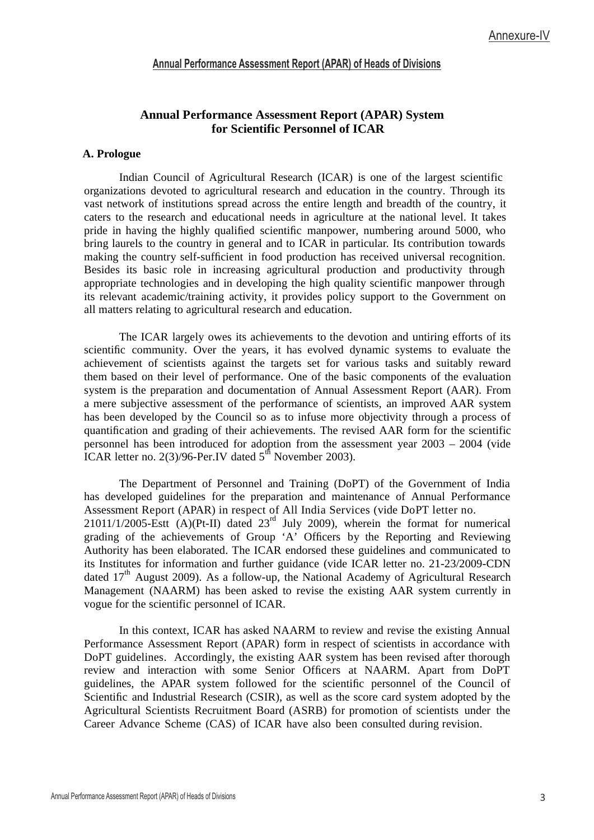#### **Annual Performance Assessment Report (APAR) System for Scientific Personnel of ICAR**

#### **A. Prologue**

Indian Council of Agricultural Research (ICAR) is one of the largest scientific organizations devoted to agricultural research and education in the country. Through its vast network of institutions spread across the entire length and breadth of the country, it caters to the research and educational needs in agriculture at the national level. It takes pride in having the highly qualified scientific manpower, numbering around 5000, who bring laurels to the country in general and to ICAR in particular. Its contribution towards making the country self-sufficient in food production has received universal recognition. Besides its basic role in increasing agricultural production and productivity through appropriate technologies and in developing the high quality scientific manpower through its relevant academic/training activity, it provides policy support to the Government on all matters relating to agricultural research and education.

The ICAR largely owes its achievements to the devotion and untiring efforts of its scientific community. Over the years, it has evolved dynamic systems to evaluate the achievement of scientists against the targets set for various tasks and suitably reward them based on their level of performance. One of the basic components of the evaluation system is the preparation and documentation of Annual Assessment Report (AAR). From a mere subjective assessment of the performance of scientists, an improved AAR system has been developed by the Council so as to infuse more objectivity through a process of quantification and grading of their achievements. The revised AAR form for the scientific personnel has been introduced for adoption from the assessment year 2003 – 2004 (vide  $\overline{ICAR}$  letter no. 2(3)/96-Per.IV dated 5<sup>th</sup> November 2003).

The Department of Personnel and Training (DoPT) of the Government of India has developed guidelines for the preparation and maintenance of Annual Performance Assessment Report (APAR) in respect of All India Services (vide DoPT letter no.  $21011/1/2005-Estt$   $(A)(Pt-II)$  dated  $23<sup>rd</sup>$  July 2009), wherein the format for numerical grading of the achievements of Group 'A' Officers by the Reporting and Reviewing Authority has been elaborated. The ICAR endorsed these guidelines and communicated to its Institutes for information and further guidance (vide ICAR letter no. 21-23/2009-CDN dated 17<sup>th</sup> August 2009). As a follow-up, the National Academy of Agricultural Research Management (NAARM) has been asked to revise the existing AAR system currently in vogue for the scientific personnel of ICAR.

In this context, ICAR has asked NAARM to review and revise the existing Annual Performance Assessment Report (APAR) form in respect of scientists in accordance with DoPT guidelines. Accordingly, the existing AAR system has been revised after thorough review and interaction with some Senior Officers at NAARM. Apart from DoPT guidelines, the APAR system followed for the scientific personnel of the Council of Scientific and Industrial Research (CSIR), as well as the score card system adopted by the Agricultural Scientists Recruitment Board (ASRB) for promotion of scientists under the Career Advance Scheme (CAS) of ICAR have also been consulted during revision.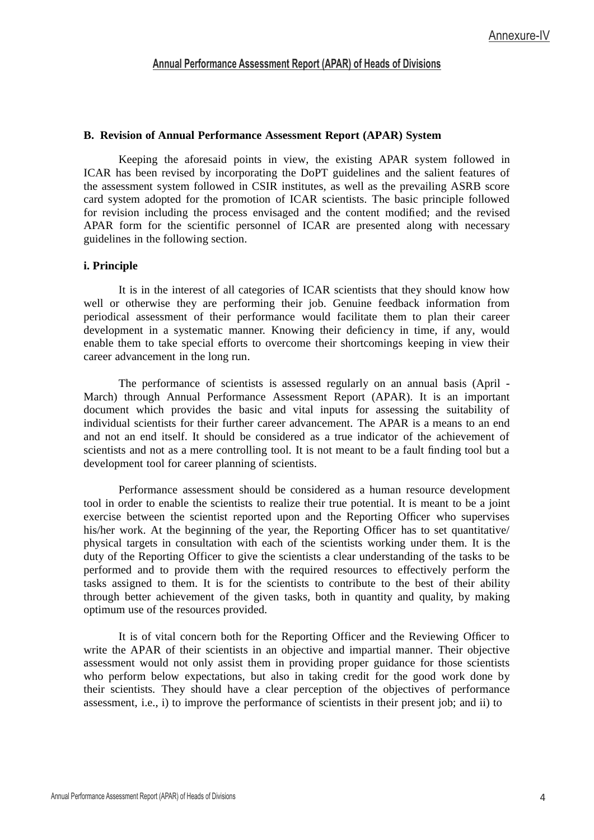#### **B. Revision of Annual Performance Assessment Report (APAR) System**

Keeping the aforesaid points in view, the existing APAR system followed in ICAR has been revised by incorporating the DoPT guidelines and the salient features of the assessment system followed in CSIR institutes, as well as the prevailing ASRB score card system adopted for the promotion of ICAR scientists. The basic principle followed for revision including the process envisaged and the content modified; and the revised APAR form for the scientific personnel of ICAR are presented along with necessary guidelines in the following section.

#### **i. Principle**

It is in the interest of all categories of ICAR scientists that they should know how well or otherwise they are performing their job. Genuine feedback information from periodical assessment of their performance would facilitate them to plan their career development in a systematic manner. Knowing their deficiency in time, if any, would enable them to take special efforts to overcome their shortcomings keeping in view their career advancement in the long run.

The performance of scientists is assessed regularly on an annual basis (April - March) through Annual Performance Assessment Report (APAR). It is an important document which provides the basic and vital inputs for assessing the suitability of individual scientists for their further career advancement. The APAR is a means to an end and not an end itself. It should be considered as a true indicator of the achievement of scientists and not as a mere controlling tool. It is not meant to be a fault finding tool but a development tool for career planning of scientists.

Performance assessment should be considered as a human resource development tool in order to enable the scientists to realize their true potential. It is meant to be a joint exercise between the scientist reported upon and the Reporting Officer who supervises his/her work. At the beginning of the year, the Reporting Officer has to set quantitative/ physical targets in consultation with each of the scientists working under them. It is the duty of the Reporting Officer to give the scientists a clear understanding of the tasks to be performed and to provide them with the required resources to effectively perform the tasks assigned to them. It is for the scientists to contribute to the best of their ability through better achievement of the given tasks, both in quantity and quality, by making optimum use of the resources provided.

It is of vital concern both for the Reporting Officer and the Reviewing Officer to write the APAR of their scientists in an objective and impartial manner. Their objective assessment would not only assist them in providing proper guidance for those scientists who perform below expectations, but also in taking credit for the good work done by their scientists. They should have a clear perception of the objectives of performance assessment, i.e., i) to improve the performance of scientists in their present job; and ii) to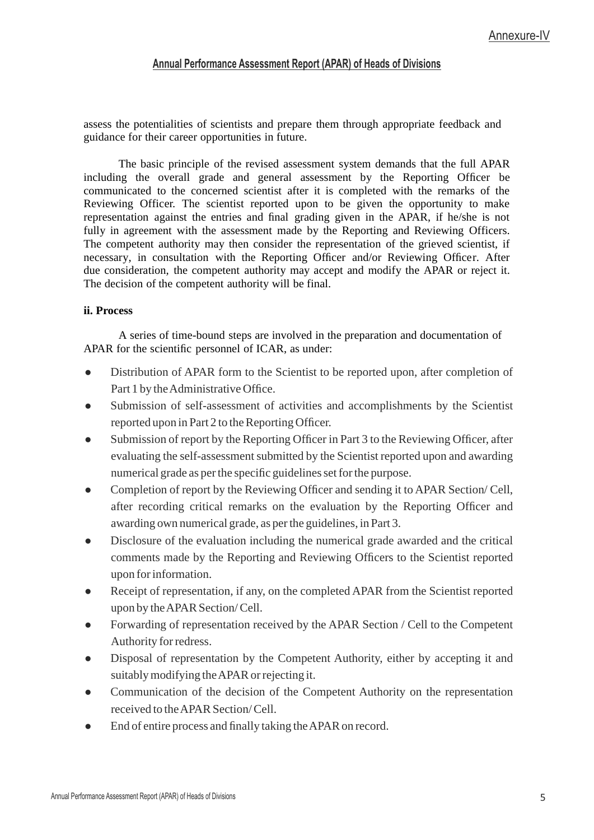assess the potentialities of scientists and prepare them through appropriate feedback and guidance for their career opportunities in future.

The basic principle of the revised assessment system demands that the full APAR including the overall grade and general assessment by the Reporting Officer be communicated to the concerned scientist after it is completed with the remarks of the Reviewing Officer. The scientist reported upon to be given the opportunity to make representation against the entries and final grading given in the APAR, if he/she is not fully in agreement with the assessment made by the Reporting and Reviewing Officers. The competent authority may then consider the representation of the grieved scientist, if necessary, in consultation with the Reporting Officer and/or Reviewing Officer. After due consideration, the competent authority may accept and modify the APAR or reject it. The decision of the competent authority will be final.

#### **ii. Process**

A series of time-bound steps are involved in the preparation and documentation of APAR for the scientific personnel of ICAR, as under:

- Distribution of APAR form to the Scientist to be reported upon, after completion of Part 1 by the Administrative Office.
- Submission of self-assessment of activities and accomplishments by the Scientist reported upon in Part 2 to the Reporting Officer.
- Submission of report by the Reporting Officer in Part 3 to the Reviewing Officer, after evaluating the self-assessment submitted by the Scientist reported upon and awarding numerical grade as per the specific guidelines set for the purpose.
- Completion of report by the Reviewing Officer and sending it to APAR Section/ Cell, after recording critical remarks on the evaluation by the Reporting Officer and awarding own numerical grade, as per the guidelines, in Part 3.
- Disclosure of the evaluation including the numerical grade awarded and the critical comments made by the Reporting and Reviewing Officers to the Scientist reported upon for information.
- Receipt of representation, if any, on the completed APAR from the Scientist reported upon by the APAR Section/ Cell.
- Forwarding of representation received by the APAR Section / Cell to the Competent Authority for redress.
- Disposal of representation by the Competent Authority, either by accepting it and suitably modifying the APAR or rejecting it.
- Communication of the decision of the Competent Authority on the representation received to the APAR Section/ Cell.
- $\bullet$  End of entire process and finally taking the APAR on record.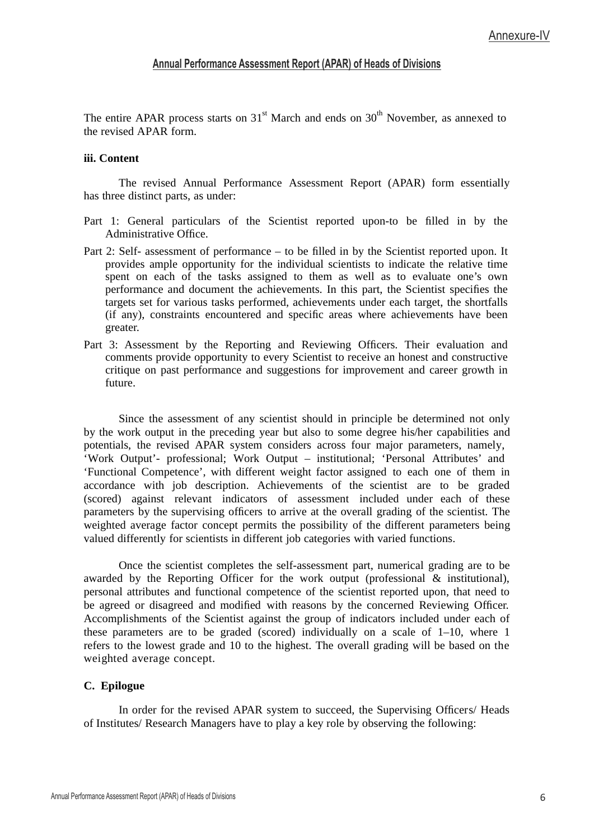The entire APAR process starts on 31 $^{\rm st}$  March and ends on 30 $^{\rm th}$  November, as annexed to the revised APAR form.

#### **iii. Content**

The revised Annual Performance Assessment Report (APAR) form essentially has three distinct parts, as under:

- Part 1: General particulars of the Scientist reported upon-to be filled in by the Administrative Office.
- Part 2: Self- assessment of performance to be filled in by the Scientist reported upon. It provides ample opportunity for the individual scientists to indicate the relative time spent on each of the tasks assigned to them as well as to evaluate one's own performance and document the achievements. In this part, the Scientist specifies the targets set for various tasks performed, achievements under each target, the shortfalls (if any), constraints encountered and specific areas where achievements have been greater.
- Part 3: Assessment by the Reporting and Reviewing Officers. Their evaluation and comments provide opportunity to every Scientist to receive an honest and constructive critique on past performance and suggestions for improvement and career growth in future.

Since the assessment of any scientist should in principle be determined not only by the work output in the preceding year but also to some degree his/her capabilities and potentials, the revised APAR system considers across four major parameters, namely, 'Work Output'- professional; Work Output – institutional; 'Personal Attributes' and 'Functional Competence', with different weight factor assigned to each one of them in accordance with job description. Achievements of the scientist are to be graded (scored) against relevant indicators of assessment included under each of these parameters by the supervising officers to arrive at the overall grading of the scientist. The weighted average factor concept permits the possibility of the different parameters being valued differently for scientists in different job categories with varied functions.

Once the scientist completes the self-assessment part, numerical grading are to be awarded by the Reporting Officer for the work output (professional & institutional), personal attributes and functional competence of the scientist reported upon, that need to be agreed or disagreed and modified with reasons by the concerned Reviewing Officer. Accomplishments of the Scientist against the group of indicators included under each of these parameters are to be graded (scored) individually on a scale of 1–10, where 1 refers to the lowest grade and 10 to the highest. The overall grading will be based on the weighted average concept.

#### **C. Epilogue**

In order for the revised APAR system to succeed, the Supervising Officers/ Heads of Institutes/ Research Managers have to play a key role by observing the following: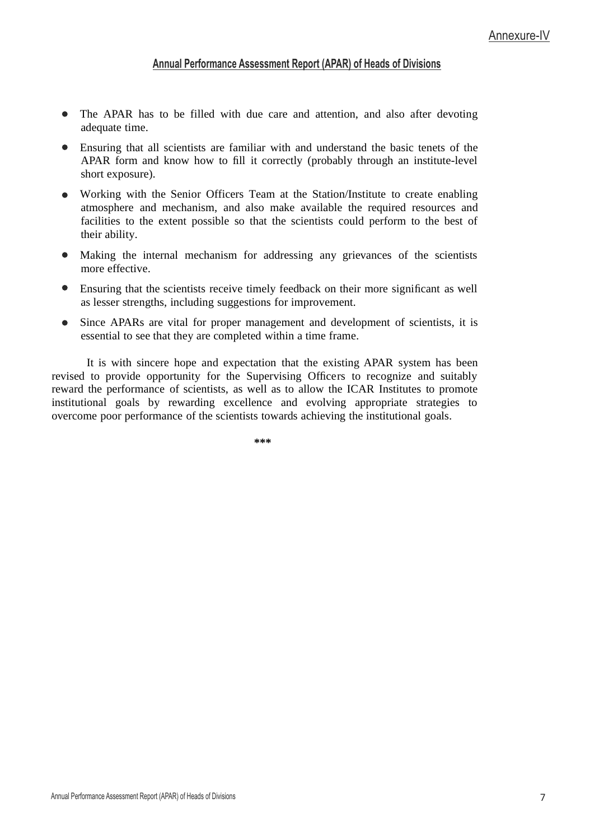- The APAR has to be filled with due care and attention, and also after devoting adequate time.
- Ensuring that all scientists are familiar with and understand the basic tenets of the APAR form and know how to fill it correctly (probably through an institute-level short exposure).
- Working with the Senior Officers Team at the Station/Institute to create enabling atmosphere and mechanism, and also make available the required resources and facilities to the extent possible so that the scientists could perform to the best of their ability.
- $\bullet$ Making the internal mechanism for addressing any grievances of the scientists more effective.
- $\bullet$ Ensuring that the scientists receive timely feedback on their more signicant as well as lesser strengths, including suggestions for improvement.
- Since APARs are vital for proper management and development of scientists, it is essential to see that they are completed within a time frame.

It is with sincere hope and expectation that the existing APAR system has been revised to provide opportunity for the Supervising Officers to recognize and suitably reward the performance of scientists, as well as to allow the ICAR Institutes to promote institutional goals by rewarding excellence and evolving appropriate strategies to overcome poor performance of the scientists towards achieving the institutional goals.

**\*\*\***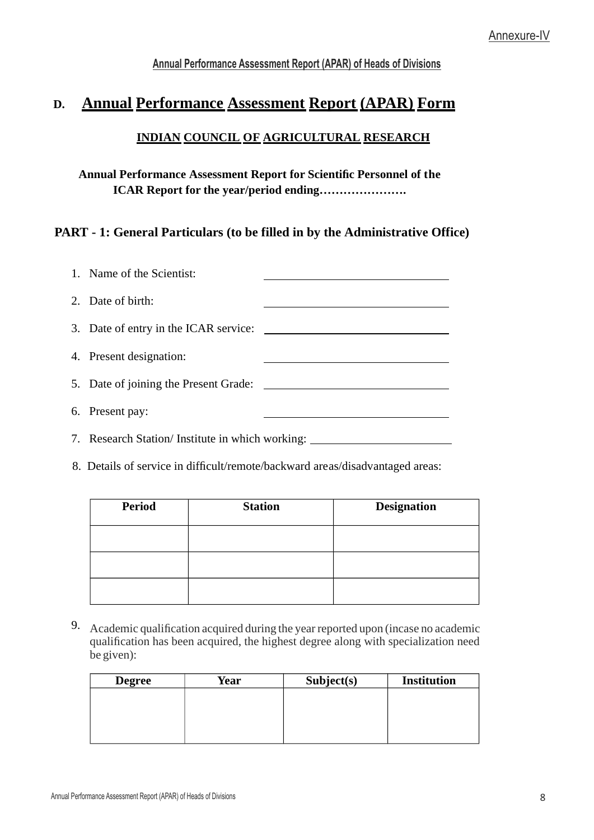# **D. Annual Performance Assessment Report (APAR) Form**

## **INDIAN COUNCIL OF AGRICULTURAL RESEARCH**

## **Annual Performance Assessment Report for Scientic Personnel of the ICAR Report for the year/period ending………………….**

### **PART - 1: General Particulars (to be filled in by the Administrative Office)**

| 1. Name of the Scientist:                        |  |
|--------------------------------------------------|--|
| 2. Date of birth:                                |  |
|                                                  |  |
| 4. Present designation:                          |  |
| 5. Date of joining the Present Grade: ______     |  |
| 6. Present pay:                                  |  |
| 7. Research Station/ Institute in which working: |  |

8. Details of service in difficult/remote/backward areas/disadvantaged areas:

| <b>Period</b> | <b>Station</b> | <b>Designation</b> |
|---------------|----------------|--------------------|
|               |                |                    |
|               |                |                    |
|               |                |                    |

9. Academic qualification acquired during the year reported upon (incase no academic qualification has been acquired, the highest degree along with specialization need be given):

| <b>Degree</b> | Year | Subject(s) | <b>Institution</b> |
|---------------|------|------------|--------------------|
|               |      |            |                    |
|               |      |            |                    |
|               |      |            |                    |
|               |      |            |                    |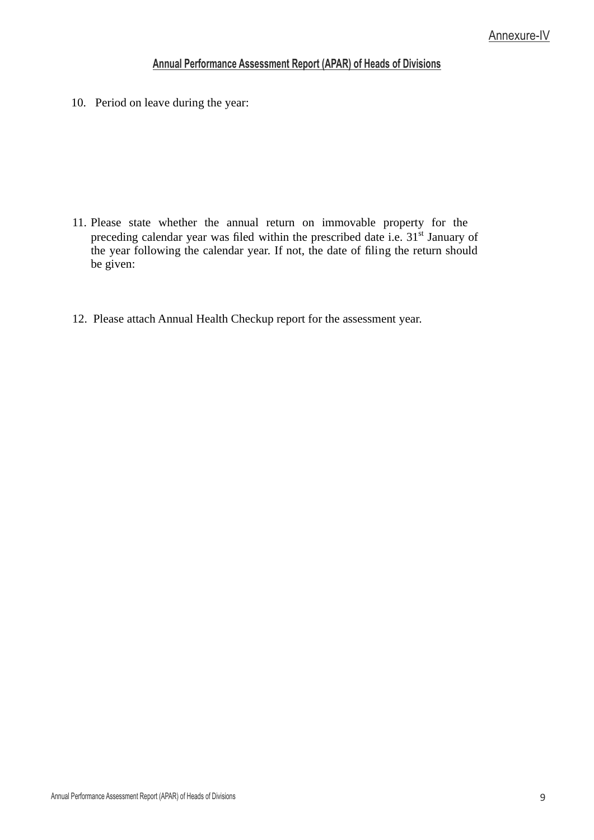10. Period on leave during the year:

- 11. Please state whether the annual return on immovable property for the preceding calendar year was filed within the prescribed date i.e.  $31<sup>st</sup>$  January of the year following the calendar year. If not, the date of filing the return should be given:
- 12. Please attach Annual Health Checkup report for the assessment year.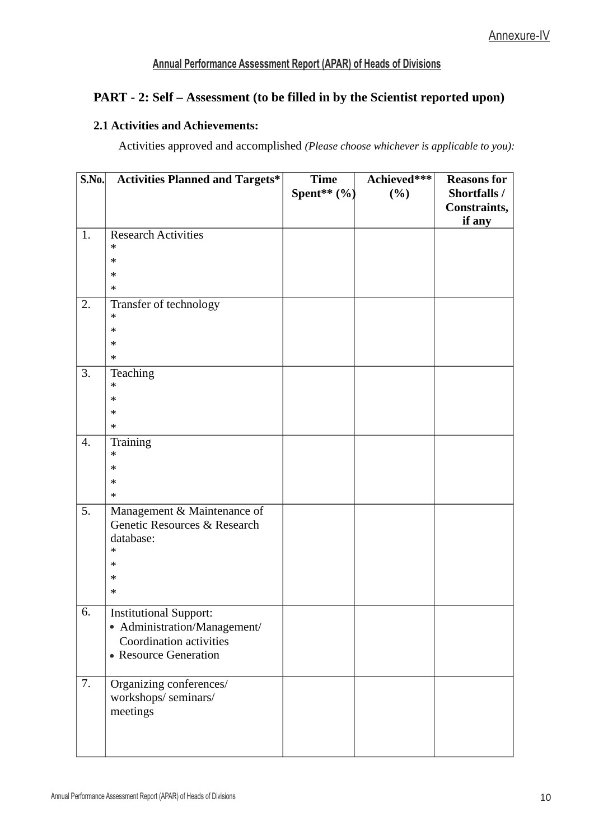# **PART - 2: Self – Assessment (to be filled in by the Scientist reported upon)**

#### **2.1 Activities and Achievements:**

Activities approved and accomplished *(Please choose whichever is applicable to you):*

| S.No. | <b>Activities Planned and Targets*</b> | <b>Time</b>   | Achieved*** | <b>Reasons for</b>                  |
|-------|----------------------------------------|---------------|-------------|-------------------------------------|
|       |                                        | Spent** $(%)$ | (%)         | Shortfalls /<br><b>Constraints,</b> |
|       |                                        |               |             | if any                              |
| 1.    | <b>Research Activities</b>             |               |             |                                     |
|       | $\ast$                                 |               |             |                                     |
|       | ∗                                      |               |             |                                     |
|       | ∗                                      |               |             |                                     |
|       | $\ast$                                 |               |             |                                     |
| 2.    | Transfer of technology<br>$\ast$       |               |             |                                     |
|       | ∗                                      |               |             |                                     |
|       | $\ast$                                 |               |             |                                     |
|       | ∗                                      |               |             |                                     |
| 3.    | Teaching                               |               |             |                                     |
|       | $\ast$                                 |               |             |                                     |
|       | ∗                                      |               |             |                                     |
|       | $\ast$                                 |               |             |                                     |
|       | $\ast$                                 |               |             |                                     |
| 4.    | Training                               |               |             |                                     |
|       | $\ast$                                 |               |             |                                     |
|       | $\ast$                                 |               |             |                                     |
|       | $\ast$                                 |               |             |                                     |
|       | ∗                                      |               |             |                                     |
| 5.    | Management & Maintenance of            |               |             |                                     |
|       | Genetic Resources & Research           |               |             |                                     |
|       | database:<br>$\ast$                    |               |             |                                     |
|       | ∗                                      |               |             |                                     |
|       | ∗                                      |               |             |                                     |
|       | ∗                                      |               |             |                                     |
|       |                                        |               |             |                                     |
| 6.    | <b>Institutional Support:</b>          |               |             |                                     |
|       | • Administration/Management/           |               |             |                                     |
|       | Coordination activities                |               |             |                                     |
|       | • Resource Generation                  |               |             |                                     |
|       |                                        |               |             |                                     |
| 7.    | Organizing conferences/                |               |             |                                     |
|       | workshops/seminars/                    |               |             |                                     |
|       | meetings                               |               |             |                                     |
|       |                                        |               |             |                                     |
|       |                                        |               |             |                                     |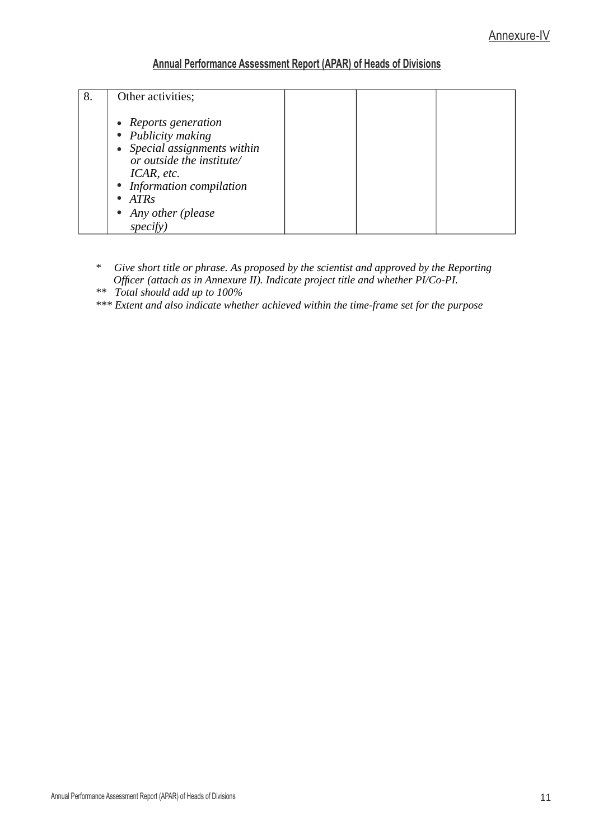| 8. | Other activities;                                                                                                                                                    |  |  |
|----|----------------------------------------------------------------------------------------------------------------------------------------------------------------------|--|--|
|    | • Reports generation<br>• Publicity making<br>• Special assignments within<br>or outside the institute/<br>ICAR, etc.<br>• Information compilation<br>$\bullet$ ATRs |  |  |
|    | • Any other (please<br>specify                                                                                                                                       |  |  |

- *\* Give short title or phrase. As proposed by the scientist and approved by the Reporting Ofcer (attach as in Annexure II). Indicate project title and whether PI/Co-PI.*
- *\*\* Total should add up to 100%*
- *\*\*\* Extent and also indicate whether achieved within the time-frame set for the purpose*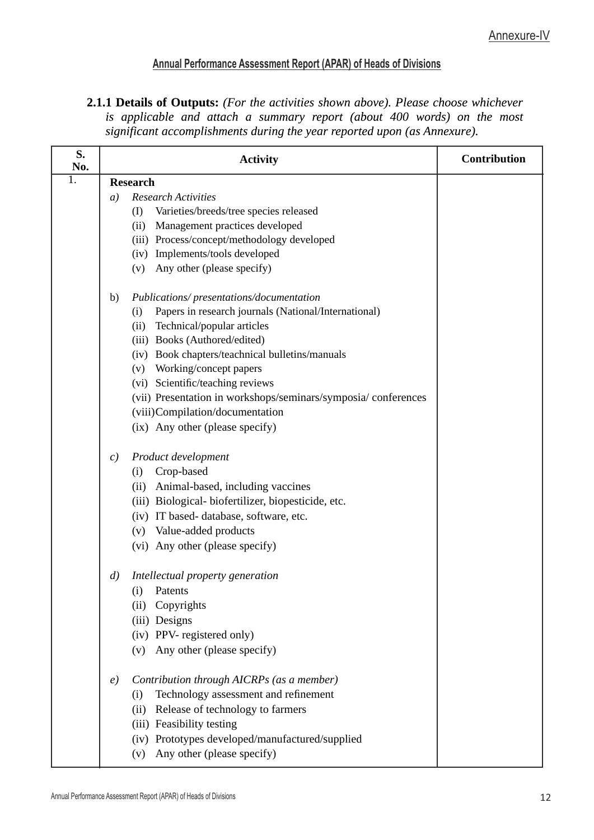2.1.1 Details of Outputs: (For the activities shown above). Please choose whichever is applicable and attach a summary report (about 400 words) on the most significant accomplishments during the year reported upon (as Annexure).

| S.<br>No. |                    | <b>Activity</b>                                               | Contribution |
|-----------|--------------------|---------------------------------------------------------------|--------------|
| 1.        |                    | <b>Research</b>                                               |              |
|           | a)                 | <b>Research Activities</b>                                    |              |
|           |                    | Varieties/breeds/tree species released<br>(I)                 |              |
|           |                    | (ii) Management practices developed                           |              |
|           |                    | (iii) Process/concept/methodology developed                   |              |
|           |                    | (iv) Implements/tools developed                               |              |
|           |                    | (v) Any other (please specify)                                |              |
|           | b)                 | Publications/presentations/documentation                      |              |
|           |                    | Papers in research journals (National/International)<br>(i)   |              |
|           |                    | Technical/popular articles<br>(ii)                            |              |
|           |                    | (iii) Books (Authored/edited)                                 |              |
|           |                    | (iv) Book chapters/teachnical bulletins/manuals               |              |
|           |                    | (v) Working/concept papers                                    |              |
|           |                    | (vi) Scientific/teaching reviews                              |              |
|           |                    | (vii) Presentation in workshops/seminars/symposia/conferences |              |
|           |                    | (viii)Compilation/documentation                               |              |
|           |                    | (ix) Any other (please specify)                               |              |
|           | $\mathcal{C}$      | Product development                                           |              |
|           |                    | Crop-based<br>(i)                                             |              |
|           |                    | (ii) Animal-based, including vaccines                         |              |
|           |                    | (iii) Biological-biofertilizer, biopesticide, etc.            |              |
|           |                    | (iv) IT based- database, software, etc.                       |              |
|           |                    | (v) Value-added products                                      |              |
|           |                    | (vi) Any other (please specify)                               |              |
|           | $\left( d \right)$ | Intellectual property generation                              |              |
|           |                    | (i) Patents                                                   |              |
|           |                    | Copyrights<br>(ii)                                            |              |
|           |                    | (iii) Designs                                                 |              |
|           |                    | (iv) PPV- registered only)                                    |              |
|           |                    | Any other (please specify)<br>(v)                             |              |
|           | $\epsilon$         | Contribution through AICRPs (as a member)                     |              |
|           |                    | Technology assessment and refinement<br>(i)                   |              |
|           |                    | Release of technology to farmers<br>(ii)                      |              |
|           |                    | (iii) Feasibility testing                                     |              |
|           |                    | (iv) Prototypes developed/manufactured/supplied               |              |
|           |                    | Any other (please specify)<br>(v)                             |              |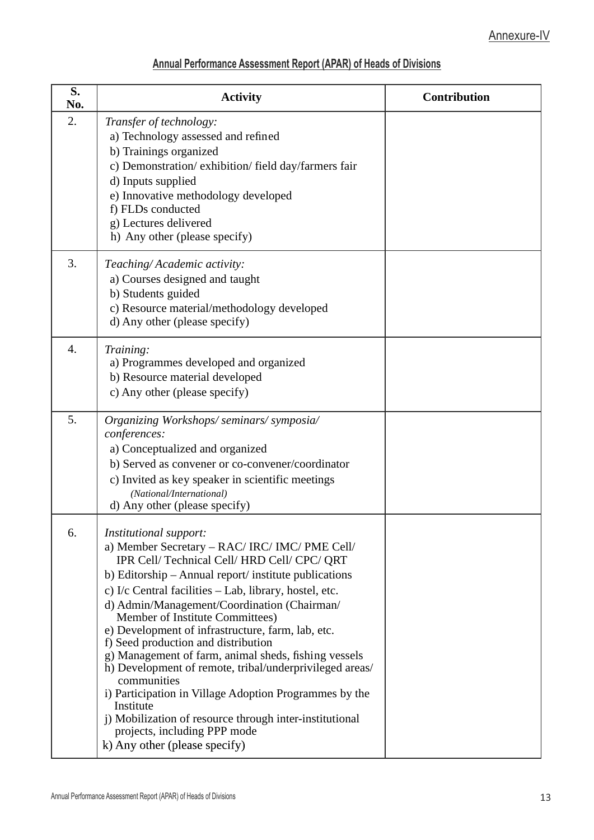| S.<br>No. | <b>Activity</b>                                                                                                                                                                                                                                                                                                                                                                                                                                                                                                                                                                                                                                                                                                                                                | Contribution |
|-----------|----------------------------------------------------------------------------------------------------------------------------------------------------------------------------------------------------------------------------------------------------------------------------------------------------------------------------------------------------------------------------------------------------------------------------------------------------------------------------------------------------------------------------------------------------------------------------------------------------------------------------------------------------------------------------------------------------------------------------------------------------------------|--------------|
| 2.        | Transfer of technology:<br>a) Technology assessed and refined<br>b) Trainings organized<br>c) Demonstration/exhibition/field day/farmers fair<br>d) Inputs supplied<br>e) Innovative methodology developed<br>f) FLDs conducted<br>g) Lectures delivered<br>h) Any other (please specify)                                                                                                                                                                                                                                                                                                                                                                                                                                                                      |              |
| 3.        | Teaching/Academic activity:<br>a) Courses designed and taught<br>b) Students guided<br>c) Resource material/methodology developed<br>d) Any other (please specify)                                                                                                                                                                                                                                                                                                                                                                                                                                                                                                                                                                                             |              |
| 4.        | Training:<br>a) Programmes developed and organized<br>b) Resource material developed<br>c) Any other (please specify)                                                                                                                                                                                                                                                                                                                                                                                                                                                                                                                                                                                                                                          |              |
| 5.        | Organizing Workshops/seminars/symposia/<br>conferences:<br>a) Conceptualized and organized<br>b) Served as convener or co-convener/coordinator<br>c) Invited as key speaker in scientific meetings<br>(National/International)<br>d) Any other (please specify)                                                                                                                                                                                                                                                                                                                                                                                                                                                                                                |              |
| 6.        | Institutional support:<br>a) Member Secretary - RAC/ IRC/ IMC/ PME Cell/<br>IPR Cell/ Technical Cell/ HRD Cell/ CPC/ QRT<br>b) Editorship - Annual report/ institute publications<br>c) I/c Central facilities - Lab, library, hostel, etc.<br>d) Admin/Management/Coordination (Chairman/<br>Member of Institute Committees)<br>e) Development of infrastructure, farm, lab, etc.<br>f) Seed production and distribution<br>g) Management of farm, animal sheds, fishing vessels<br>h) Development of remote, tribal/underprivileged areas/<br>communities<br>i) Participation in Village Adoption Programmes by the<br>Institute<br>j) Mobilization of resource through inter-institutional<br>projects, including PPP mode<br>k) Any other (please specify) |              |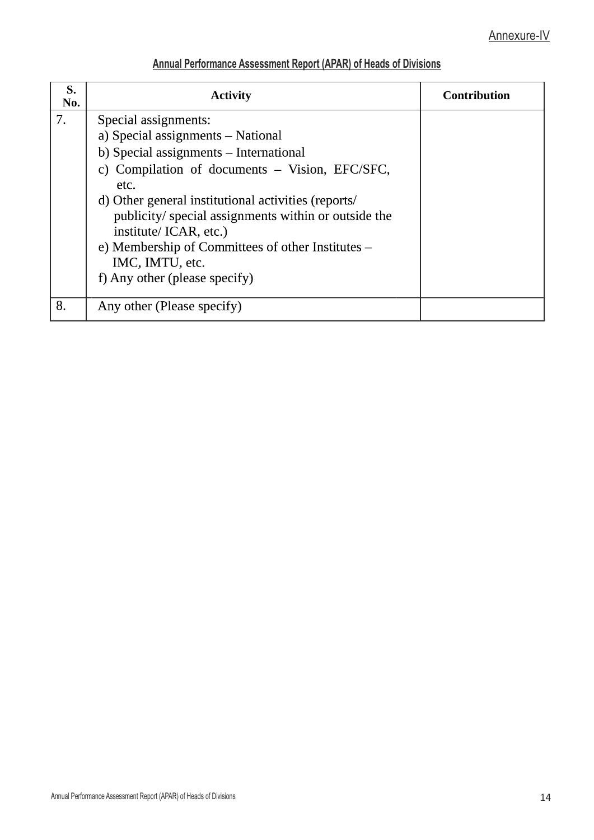| S.<br>No. | <b>Activity</b>                                                                                                                                                                                                                                                                                                                                                                                                | <b>Contribution</b> |
|-----------|----------------------------------------------------------------------------------------------------------------------------------------------------------------------------------------------------------------------------------------------------------------------------------------------------------------------------------------------------------------------------------------------------------------|---------------------|
| 7.        | Special assignments:<br>a) Special assignments - National<br>b) Special assignments – International<br>c) Compilation of documents - Vision, EFC/SFC,<br>etc.<br>d) Other general institutional activities (reports/<br>publicity/special assignments within or outside the<br>institute/ ICAR, etc.)<br>e) Membership of Committees of other Institutes –<br>IMC, IMTU, etc.<br>f) Any other (please specify) |                     |
| 8.        | Any other (Please specify)                                                                                                                                                                                                                                                                                                                                                                                     |                     |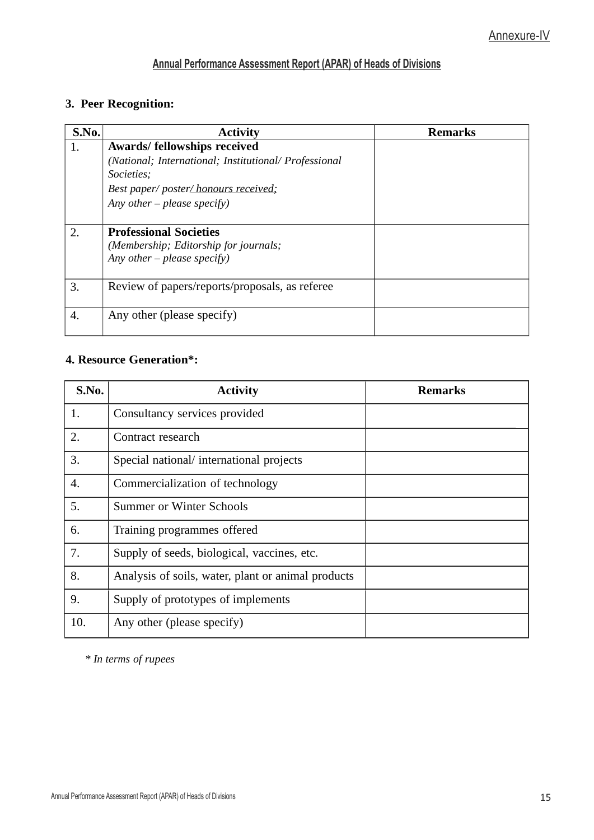# **3. Peer Recognition:**

| S.No. | <b>Activity</b>                                       | <b>Remarks</b> |
|-------|-------------------------------------------------------|----------------|
| 1.    | Awards/ fellowships received                          |                |
|       | (National; International; Institutional/ Professional |                |
|       | Societies;                                            |                |
|       | Best paper/ poster/ honours received;                 |                |
|       | Any other – please specify)                           |                |
|       |                                                       |                |
| 2.    | <b>Professional Societies</b>                         |                |
|       | (Membership; Editorship for journals;                 |                |
|       | Any other – please specify)                           |                |
|       |                                                       |                |
| 3.    | Review of papers/reports/proposals, as referee        |                |
|       |                                                       |                |
| 4.    | Any other (please specify)                            |                |
|       |                                                       |                |

# **4. Resource Generation\*:**

| S.No. | <b>Activity</b>                                    | Remarks |
|-------|----------------------------------------------------|---------|
| 1.    | Consultancy services provided                      |         |
| 2.    | Contract research                                  |         |
| 3.    | Special national/ international projects           |         |
| 4.    | Commercialization of technology                    |         |
| 5.    | Summer or Winter Schools                           |         |
| 6.    | Training programmes offered                        |         |
| 7.    | Supply of seeds, biological, vaccines, etc.        |         |
| 8.    | Analysis of soils, water, plant or animal products |         |
| 9.    | Supply of prototypes of implements                 |         |
| 10.   | Any other (please specify)                         |         |

*\* In terms of rupees*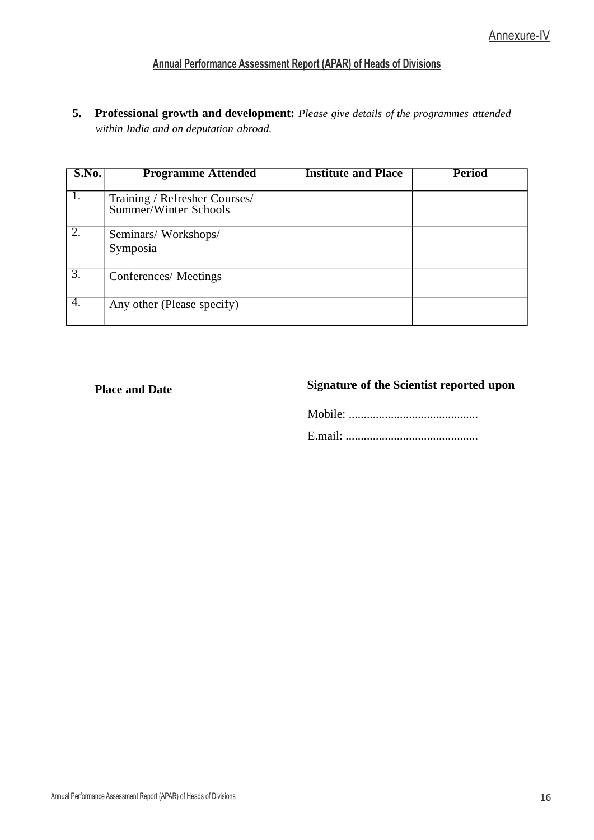**5. Professional growth and development:** *Please give details of the programmes attended within India and on deputation abroad.*

| S.No.            | <b>Programme Attended</b>                              | <b>Institute and Place</b> | Period |
|------------------|--------------------------------------------------------|----------------------------|--------|
| 1.               | Training / Refresher Courses/<br>Summer/Winter Schools |                            |        |
| 2.               | Seminars/ Workshops/<br>Symposia                       |                            |        |
| $\overline{3}$ . | Conferences/ Meetings                                  |                            |        |
| 4.               | Any other (Please specify)                             |                            |        |

### **Place** and Date

## **of the Scientist reported upon**

Mobile: ........................................... E.mail: ............................................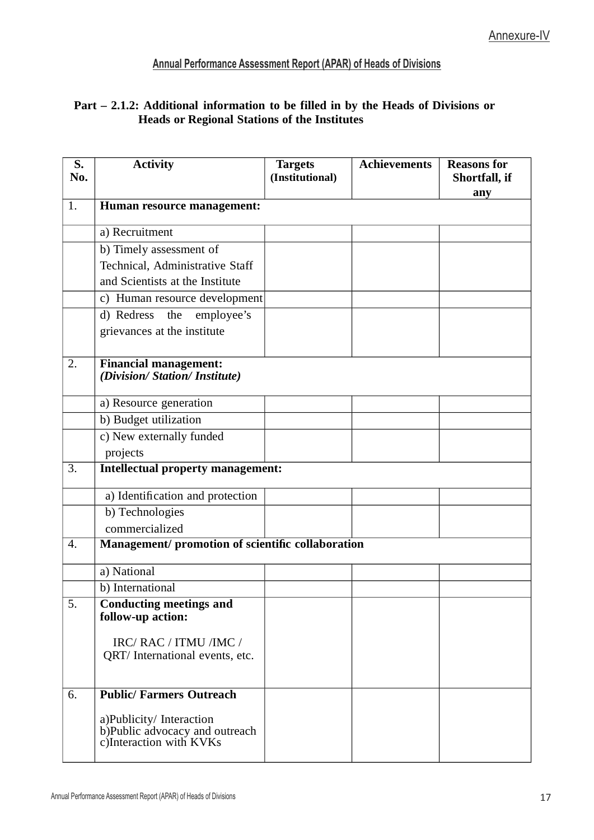## **Part – 2.1.2: Additional information to be filled in by the Heads of Divisions or Heads or Regional Stations of the Institutes**

| S.<br>No. | <b>Activity</b>                                           | <b>Targets</b><br>(Institutional) | <b>Achievements</b> | <b>Reasons for</b><br>Shortfall, if |
|-----------|-----------------------------------------------------------|-----------------------------------|---------------------|-------------------------------------|
|           |                                                           |                                   |                     | any                                 |
| 1.        | Human resource management:                                |                                   |                     |                                     |
|           | a) Recruitment                                            |                                   |                     |                                     |
|           | b) Timely assessment of                                   |                                   |                     |                                     |
|           | Technical, Administrative Staff                           |                                   |                     |                                     |
|           | and Scientists at the Institute                           |                                   |                     |                                     |
|           | c) Human resource development                             |                                   |                     |                                     |
|           | d) Redress<br>employee's<br>the                           |                                   |                     |                                     |
|           | grievances at the institute                               |                                   |                     |                                     |
|           |                                                           |                                   |                     |                                     |
| 2.        | <b>Financial management:</b>                              |                                   |                     |                                     |
|           | (Division/ Station/ Institute)                            |                                   |                     |                                     |
|           | a) Resource generation                                    |                                   |                     |                                     |
|           | b) Budget utilization                                     |                                   |                     |                                     |
|           | c) New externally funded                                  |                                   |                     |                                     |
|           | projects                                                  |                                   |                     |                                     |
| 3.        | <b>Intellectual property management:</b>                  |                                   |                     |                                     |
|           | a) Identification and protection                          |                                   |                     |                                     |
|           | b) Technologies                                           |                                   |                     |                                     |
|           | commercialized                                            |                                   |                     |                                     |
| 4.        | Management/ promotion of scientific collaboration         |                                   |                     |                                     |
|           | a) National                                               |                                   |                     |                                     |
|           | b) International                                          |                                   |                     |                                     |
| 5.        | <b>Conducting meetings and</b>                            |                                   |                     |                                     |
|           | follow-up action:                                         |                                   |                     |                                     |
|           | IRC/RAC/ITMU/IMC/                                         |                                   |                     |                                     |
|           | QRT/ International events, etc.                           |                                   |                     |                                     |
|           |                                                           |                                   |                     |                                     |
| 6.        | <b>Public/ Farmers Outreach</b>                           |                                   |                     |                                     |
|           |                                                           |                                   |                     |                                     |
|           | a)Publicity/Interaction<br>b)Public advocacy and outreach |                                   |                     |                                     |
|           | c)Interaction with KVKs                                   |                                   |                     |                                     |
|           |                                                           |                                   |                     |                                     |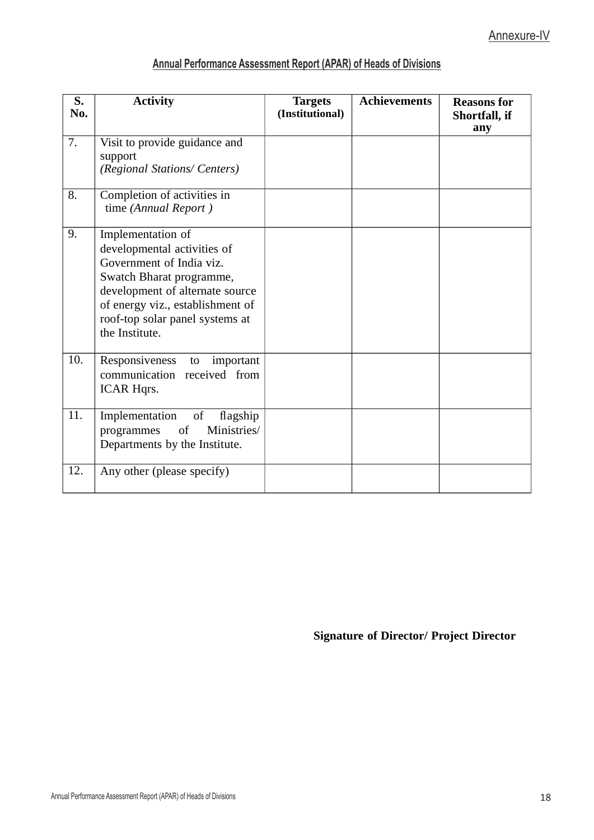| Annual Performance Assessment Report (APAR) of Heads of Divisions |  |  |
|-------------------------------------------------------------------|--|--|
|                                                                   |  |  |

| S.<br>No.        | <b>Activity</b>                                                                                                                                                                                                                      | <b>Targets</b><br>(Institutional) | <b>Achievements</b> | <b>Reasons for</b><br><b>Shortfall, if</b><br>any |
|------------------|--------------------------------------------------------------------------------------------------------------------------------------------------------------------------------------------------------------------------------------|-----------------------------------|---------------------|---------------------------------------------------|
| $\overline{7}$ . | Visit to provide guidance and                                                                                                                                                                                                        |                                   |                     |                                                   |
|                  | support<br>(Regional Stations/ Centers)                                                                                                                                                                                              |                                   |                     |                                                   |
| 8.               | Completion of activities in<br>time (Annual Report)                                                                                                                                                                                  |                                   |                     |                                                   |
| 9.               | Implementation of<br>developmental activities of<br>Government of India viz.<br>Swatch Bharat programme,<br>development of alternate source<br>of energy viz., establishment of<br>roof-top solar panel systems at<br>the Institute. |                                   |                     |                                                   |
| 10.              | Responsiveness<br>important<br>to<br>communication received from<br><b>ICAR Hqrs.</b>                                                                                                                                                |                                   |                     |                                                   |
| 11.              | of<br>Implementation<br>flagship<br>Ministries/<br>programmes<br>of<br>Departments by the Institute.                                                                                                                                 |                                   |                     |                                                   |
| 12.              | Any other (please specify)                                                                                                                                                                                                           |                                   |                     |                                                   |

# **Signature of Director/ Project Director**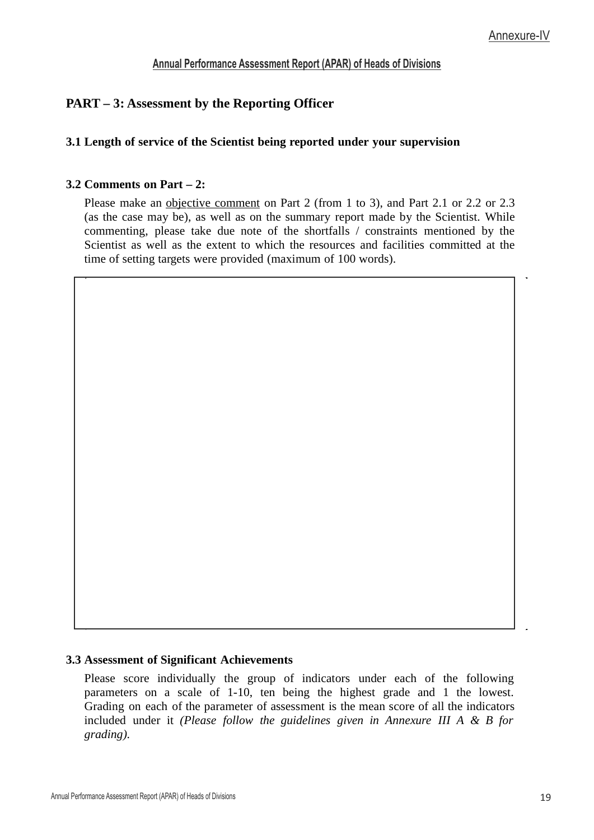# **PART – 3: Assessment by the Reporting Officer**

### **3.1 Length of service of the Scientist being reported under your supervision**

#### **3.2 Comments on Part – 2:**

Please make an <u>objective comment</u> on Part 2 (from 1 to 3), and Part 2.1 or 2.2 or 2.3 (as the case may be), as well as on the summary report made by the Scientist. While commenting, please take due note of the shortfalls / constraints mentioned by the Scientist as well as the extent to which the resources and facilities committed at the time of setting targets were provided (maximum of 100 words).

#### **3.3 Assessment of Significant Achievements**

Please score individually the group of indicators under each of the following parameters on a scale of 1-10, ten being the highest grade and 1 the lowest. Grading on each of the parameter of assessment is the mean score of all the indicators included under it *(Please follow the guidelines given in Annexure III A & B for grading).*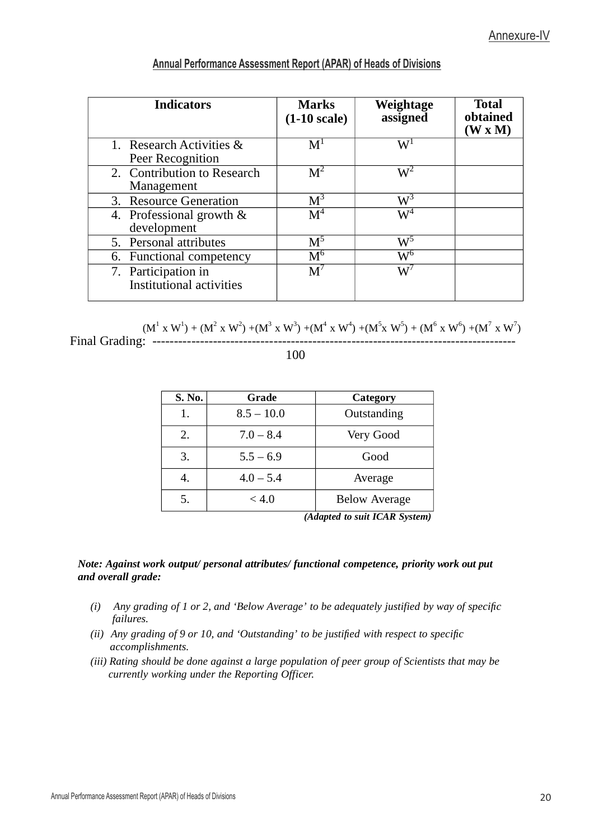| <b>Indicators</b>                                      | <b>Marks</b><br>$(1-10 \text{ scale})$ | Weightage<br>assigned | <b>Total</b><br>obtained<br>$(W \times M)$ |
|--------------------------------------------------------|----------------------------------------|-----------------------|--------------------------------------------|
| 1. Research Activities &<br>Peer Recognition           | $\mathbf{M}^1$                         | $\mathrm{W}^1$        |                                            |
| 2. Contribution to Research<br>Management              | M <sup>2</sup>                         | $W^2$                 |                                            |
| 3. Resource Generation                                 | $\rm M^3$                              | $\mathrm{W}^3$        |                                            |
| 4. Professional growth &<br>development                | M <sup>4</sup>                         | $\mathrm{W}^4$        |                                            |
| 5. Personal attributes                                 | $\mathrm{M}^5$                         | $\mathrm{W}^5$        |                                            |
| 6. Functional competency                               | $\mathrm{M}^6$                         | $\mathrm{W}^6$        |                                            |
| 7. Participation in<br><b>Institutional activities</b> | $M^7$                                  | $\mathrm{W}^7$        |                                            |

 $(M^{1} \times W^{1}) + (M^{2} \times W^{2}) + (M^{3} \times W^{3}) + (M^{4} \times W^{4}) + (M^{5} \times W^{5}) + (M^{6} \times W^{6}) + (M^{7} \times W^{7})$ Final Grading: ------------------------------------------------------------------------------------

100

| S. No.            | Grade        | Category             |
|-------------------|--------------|----------------------|
| 1.                | $8.5 - 10.0$ | Outstanding          |
| 2.<br>$7.0 - 8.4$ |              | Very Good            |
| 3.                | $5.5 - 6.9$  | Good                 |
| 4.                | $4.0 - 5.4$  | Average              |
| 5.                | < 4.0        | <b>Below Average</b> |

*(Adapted to suit ICAR System)*

#### *Note: Against work output/ personal attributes/ functional competence, priority work out put and overall grade:*

- *(i) Any grading of 1 or 2, and 'Below Average' to be adequately justified by way of specic failures.*
- *(ii) Any grading of 9 or 10, and 'Outstanding' to be justied with respect to specic accomplishments.*
- *(iii) Rating should be done against a large population of peer group of Scientists that may be currently working under the Reporting Officer.*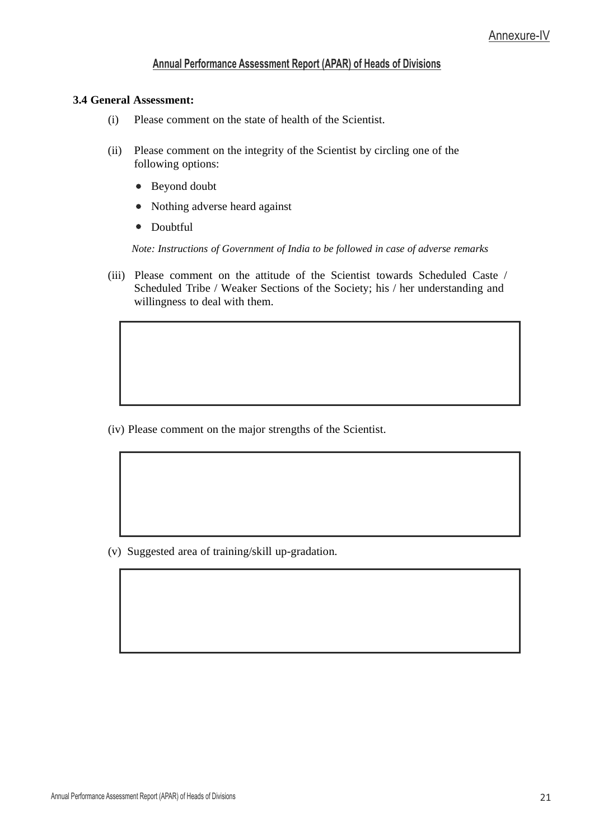#### **3.4 General Assessment:**

- (i) Please comment on the state of health of the Scientist.
- (ii) Please comment on the integrity of the Scientist by circling one of the following options:
	- Beyond doubt
	- Nothing adverse heard against \*
	- Doubtful

*Note: Instructions of Government of India to be followed in case of adverse remarks*

(iii) Please comment on the attitude of the Scientist towards Scheduled Caste / Scheduled Tribe / Weaker Sections of the Society; his / her understanding and willingness to deal with them.

(iv) Please comment on the major strengths of the Scientist.

(v) Suggested area of training/skill up-gradation.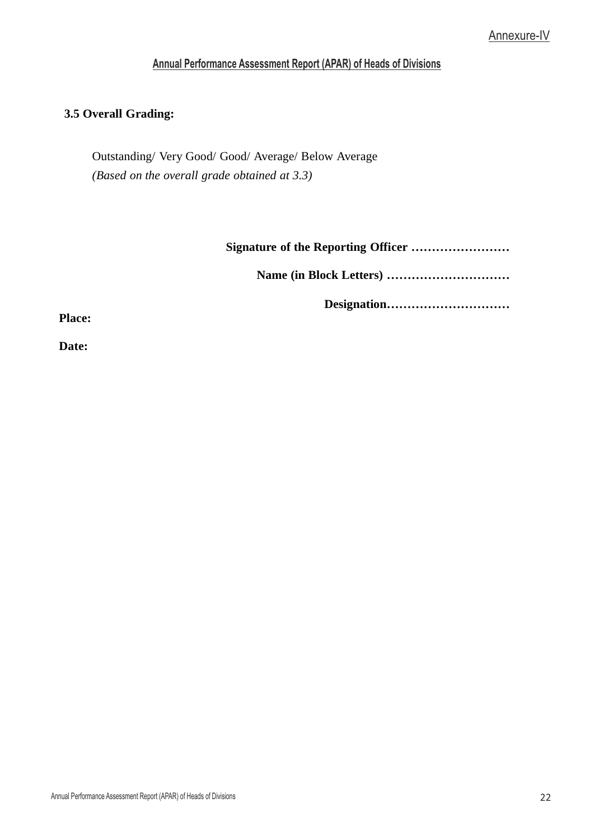#### **3.5 Overall Grading:**

Outstanding/ Very Good/ Good/ Average/ Below Average *(Based on the overall grade obtained at 3.3)*

**Signature of the Reporting Officer ……………………** 

**Name (in Block Letters) …………………………**

**Designation…………………………**

**Place:** 

**Date:**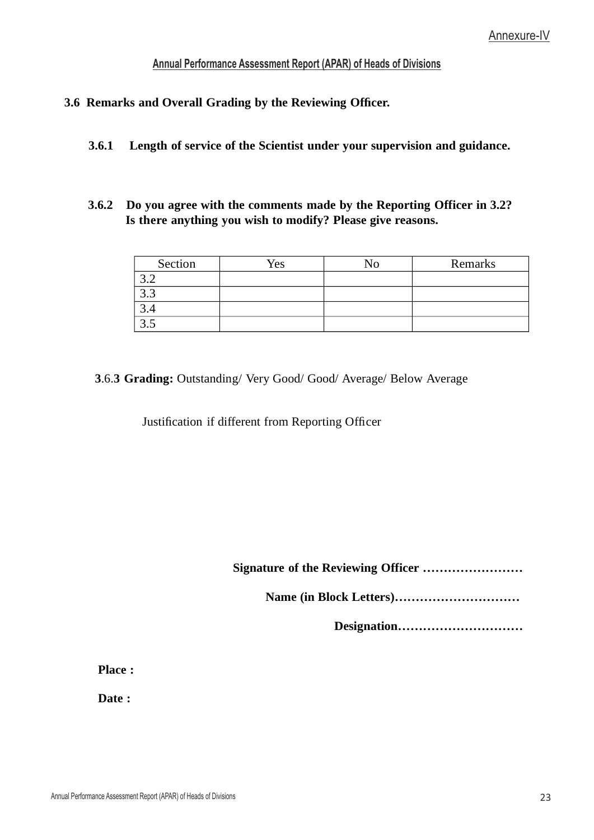- **3.6 Remarks and Overall Grading by the Reviewing Ofcer.**
	- **3.6.1 Length of service of the Scientist under your supervision and guidance.**
	- **3.6.2 Do you agree with the comments made by the Reporting Officer in 3.2? Is there anything you wish to modify? Please give reasons.**

| Section | Yes | ٦T | Remarks |
|---------|-----|----|---------|
|         |     |    |         |
| ぃぃ      |     |    |         |
|         |     |    |         |
|         |     |    |         |

### **3**.6.**3 Grading:** Outstanding/ Very Good/ Good/ Average/ Below Average

Justification if different from Reporting Officer

**Signature of the Reviewing Officer ……………………** 

**Name (in Block Letters)…………………………**

**Designation…………………………**

**Place :**

**Date :**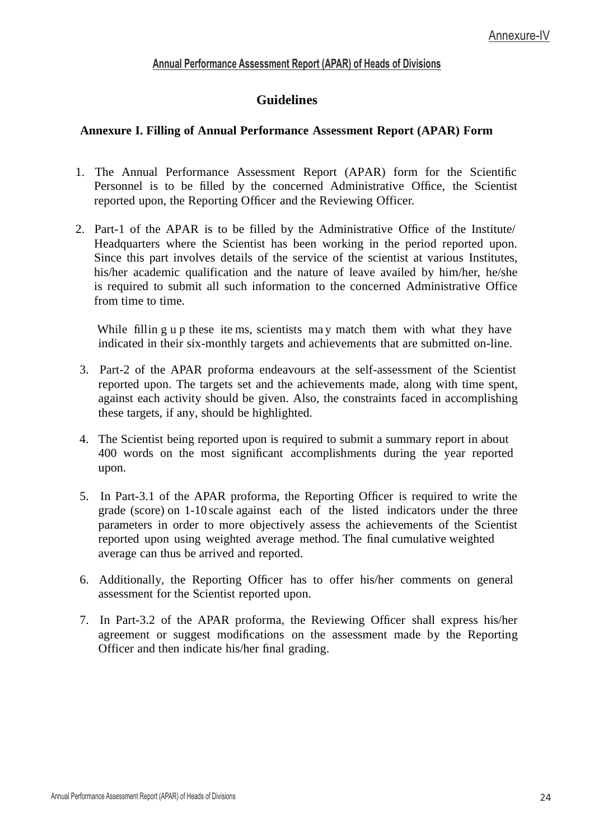# **Guidelines**

### **Annexure I. Filling of Annual Performance Assessment Report (APAR) Form**

- 1. The Annual Performance Assessment Report (APAR) form for the Scientific Personnel is to be filled by the concerned Administrative Office, the Scientist reported upon, the Reporting Officer and the Reviewing Officer.
- 2. Part-1 of the APAR is to be filled by the Administrative Office of the Institute/ Headquarters where the Scientist has been working in the period reported upon. Since this part involves details of the service of the scientist at various Institutes, his/her academic qualification and the nature of leave availed by him/her, he/she is required to submit all such information to the concerned Administrative Office from time to time.

While fillin g u p these ite ms, scientists may match them with what they have indicated in their six-monthly targets and achievements that are submitted on-line.

- 3. Part-2 of the APAR proforma endeavours at the self-assessment of the Scientist reported upon. The targets set and the achievements made, along with time spent, against each activity should be given. Also, the constraints faced in accomplishing these targets, if any, should be highlighted.
- 4. The Scientist being reported upon is required to submit a summary report in about 400 words on the most significant accomplishments during the year reported upon.
- 5. In Part-3.1 of the APAR proforma, the Reporting Officer is required to write the grade (score) on 1-10 scale against each of the listed indicators under the three parameters in order to more objectively assess the achievements of the Scientist reported upon using weighted average method. The final cumulative weighted average can thus be arrived and reported.
- 6. Additionally, the Reporting Officer has to offer his/her comments on general assessment for the Scientist reported upon.
- 7. In Part-3.2 of the APAR proforma, the Reviewing Officer shall express his/her agreement or suggest modifications on the assessment made by the Reporting Officer and then indicate his/her final grading.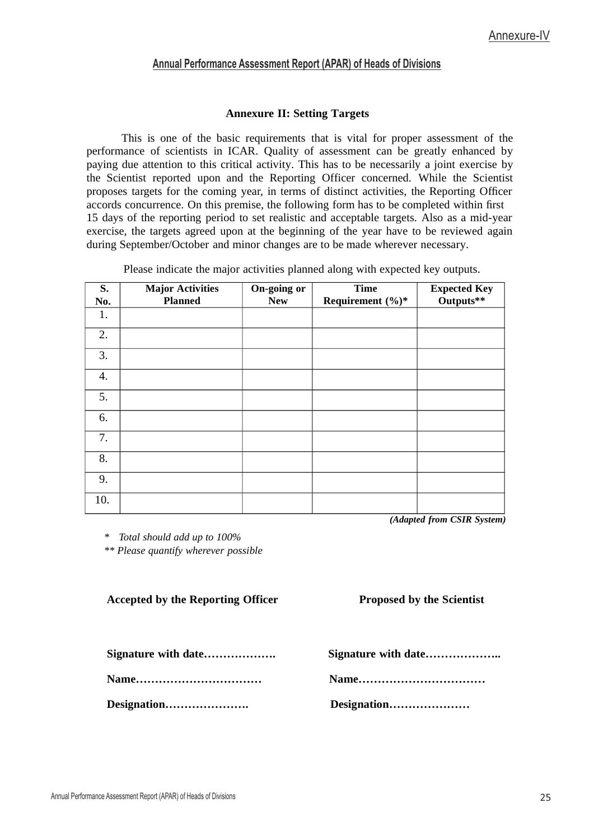#### **Annexure II: Setting Targets**

This is one of the basic requirements that is vital for proper assessment of the performance of scientists in ICAR. Quality of assessment can be greatly enhanced by paying due attention to this critical activity. This has to be necessarily a joint exercise by the Scientist reported upon and the Reporting Officer concerned. While the Scientist proposes targets for the coming year, in terms of distinct activities, the Reporting Officer accords concurrence. On this premise, the following form has to be completed within first 15 days of the reporting period to set realistic and acceptable targets. Also as a mid-year exercise, the targets agreed upon at the beginning of the year have to be reviewed again during September/October and minor changes are to be made wherever necessary.

Please indicate the major activities planned along with expected key outputs.

| S.<br>No. | <b>Major Activities</b><br><b>Planned</b> | On-going or<br><b>New</b> | <b>Time</b><br>Requirement (%)* | <b>Expected Key</b><br>Outputs** |
|-----------|-------------------------------------------|---------------------------|---------------------------------|----------------------------------|
| 1.        |                                           |                           |                                 |                                  |
| 2.        |                                           |                           |                                 |                                  |
| 3.        |                                           |                           |                                 |                                  |
| 4.        |                                           |                           |                                 |                                  |
| 5.        |                                           |                           |                                 |                                  |
| 6.        |                                           |                           |                                 |                                  |
| 7.        |                                           |                           |                                 |                                  |
| 8.        |                                           |                           |                                 |                                  |
| 9.        |                                           |                           |                                 |                                  |
| 10.       |                                           |                           |                                 |                                  |

*(Adapted from CSIR System)*

*\* Total should add up to 100%*

*\*\* Please quantify wherever possible*

**Accepted by the Reporting Officer Proposed by the Scientist**

**Name…………………………… Name……………………………**

**Designation…………………. Designation…………………**

**Signature with date………………. Signature with date………………..**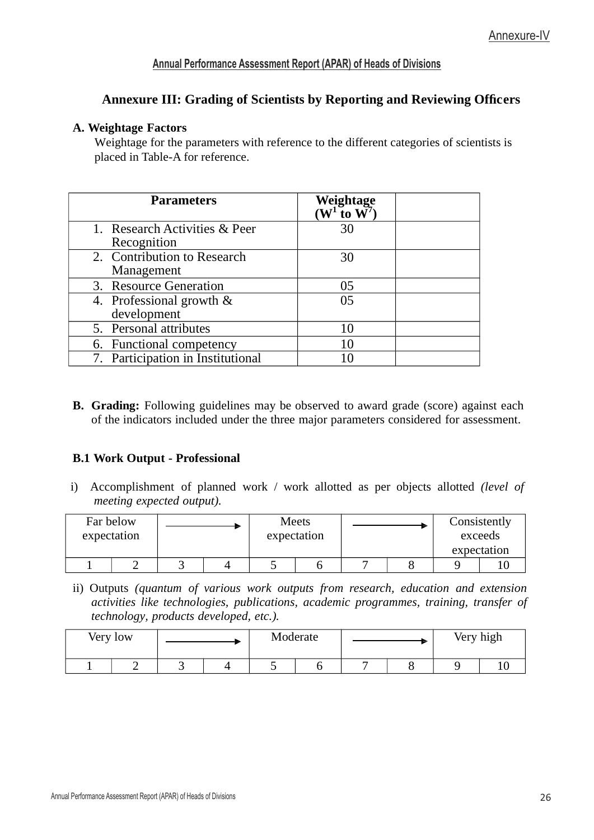# **Annexure III: Grading of Scientists by Reporting and Reviewing Officers**

#### **A. Weightage Factors**

Weightage for the parameters with reference to the different categories of scientists is placed in Table-A for reference.

| Parameters                                   | Weightage<br>( $W^1$ to $W^7$ ) |  |
|----------------------------------------------|---------------------------------|--|
| 1. Research Activities & Peer<br>Recognition | 30                              |  |
| 2. Contribution to Research<br>Management    | 30                              |  |
| 3. Resource Generation                       | 05                              |  |
| 4. Professional growth &<br>development      | 05                              |  |
| 5. Personal attributes                       | 10                              |  |
| 6. Functional competency                     | 10                              |  |
| 7. Participation in Institutional            |                                 |  |

**B. Grading:** Following guidelines may be observed to award grade (score) against each of the indicators included under the three major parameters considered for assessment.

## **B.1 Work Output - Professional**

i) Accomplishment of planned work / work allotted as per objects allotted *(level of meeting expected output).*

| Far below<br>expectation |  |  | <b>Meets</b><br>expectation |  | Consistently<br>exceeds |
|--------------------------|--|--|-----------------------------|--|-------------------------|
|                          |  |  |                             |  | expectation             |
|                          |  |  |                             |  |                         |

ii) Outputs *(quantum of various work outputs from research, education and extension activities like technologies, publications, academic programmes, training, transfer of technology, products developed, etc.).*

| Very low |  | Moderate |  |  | Very high |   |  |
|----------|--|----------|--|--|-----------|---|--|
|          |  |          |  |  |           | ັ |  |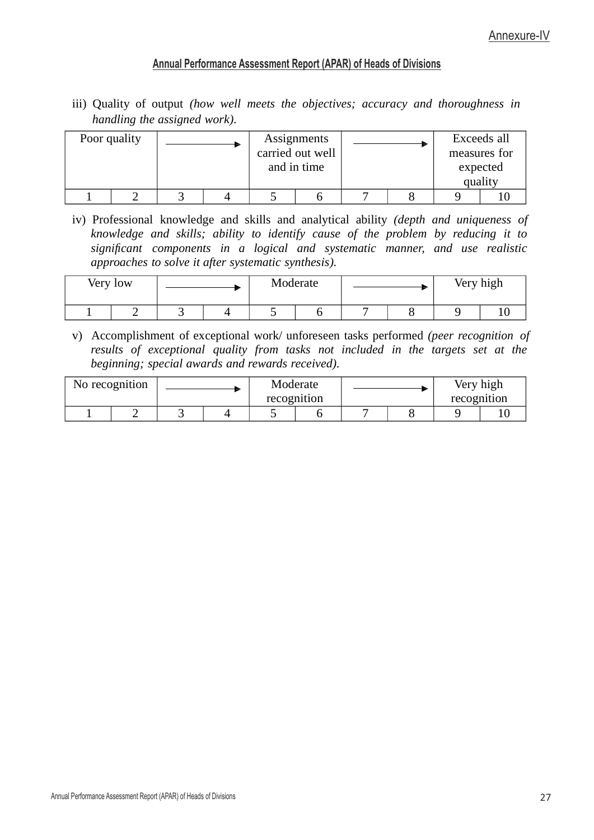iii) Quality of output *(how well meets the objectives; accuracy and thoroughness in handling the assigned work).*

| Poor quality |  | Assignments<br>carried out well<br>and in time |  |  | Exceeds all<br>measures for<br>expected<br>quality |  |
|--------------|--|------------------------------------------------|--|--|----------------------------------------------------|--|
|              |  |                                                |  |  |                                                    |  |

iv) Professional knowledge and skills and analytical ability *(depth and uniqueness of knowledge and skills; ability to identify cause of the problem by reducing it to signicant components in a logical and systematic manner, and use realistic approaches to solve it after systematic synthesis).*

| Very low | Moderate |  |  |  | Very high |   |  |
|----------|----------|--|--|--|-----------|---|--|
|          |          |  |  |  |           | ັ |  |

v) Accomplishment of exceptional work/ unforeseen tasks performed *(peer recognition of results of exceptional quality from tasks not included in the targets set at the beginning; special awards and rewards received).*

|  | No recognition |  |  | Moderate<br>recognition |  | Very high<br>recognition |  |
|--|----------------|--|--|-------------------------|--|--------------------------|--|
|  |                |  |  |                         |  | ັ                        |  |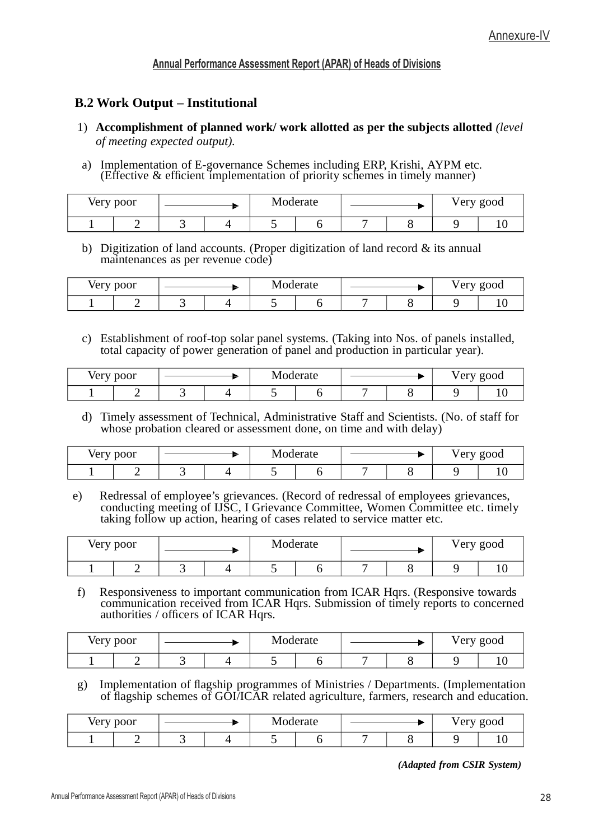# **B.2 Work Output – Institutional**

- 1) **Accomplishment of planned work/ work allotted as per the subjects allotted** *(level of meeting expected output).*
- a) Implementation of E-governance Schemes including ERP, Krishi, AYPM etc. (Effective & efficient implementation of priority schemes in timely manner)

| Very poor |  | Moderate |  | Very good |  |  |
|-----------|--|----------|--|-----------|--|--|
|           |  |          |  |           |  |  |

b) Digitization of land accounts. (Proper digitization of land record & its annual maintenances as per revenue code)

| Very poor |  |  |  | Moderate |  |  | Very good |  |
|-----------|--|--|--|----------|--|--|-----------|--|
|           |  |  |  |          |  |  |           |  |

c) Establishment of roof-top solar panel systems. (Taking into Nos. of panels installed, total capacity of power generation of panel and production in particular year).

| Very poor |  |  | . .<br>Moderate |  |  | ∨ery good |  |
|-----------|--|--|-----------------|--|--|-----------|--|
|           |  |  |                 |  |  |           |  |

d) Timely assessment of Technical, Administrative Staff and Scientists. (No. of staff for whose probation cleared or assessment done, on time and with delay)

| Very poor |  |  |  | Moderate |  |  |  | ∨ery good |  |
|-----------|--|--|--|----------|--|--|--|-----------|--|
|           |  |  |  |          |  |  |  |           |  |

e) Redressal of employee's grievances. (Record of redressal of employees grievances, conducting meeting of IJSC, I Grievance Committee, Women Committee etc. timely taking follow up action, hearing of cases related to service matter etc.

| Very poor |  |  | Moderate |  | Very good |
|-----------|--|--|----------|--|-----------|
|           |  |  |          |  |           |

f) Responsiveness to important communication from ICAR Hqrs. (Responsive towards communication received from ICAR Hqrs. Submission of timely reports to concerned authorities  $\prime$  officers of ICAR Hqrs.

| Very poor |  | Moderate |  |  | Very good |  |
|-----------|--|----------|--|--|-----------|--|
|           |  |          |  |  |           |  |

g) Implementation of flagship programmes of Ministries / Departments. (Implementation of flagship schemes of GOI/ICAR related agriculture, farmers, research and education.

| Very poor |  |  |  | $\blacksquare$<br>Moderate |  |  | 'ery good<br>ັ<br>◡ |  |
|-----------|--|--|--|----------------------------|--|--|---------------------|--|
|           |  |  |  |                            |  |  |                     |  |

*(Adapted from CSIR System)*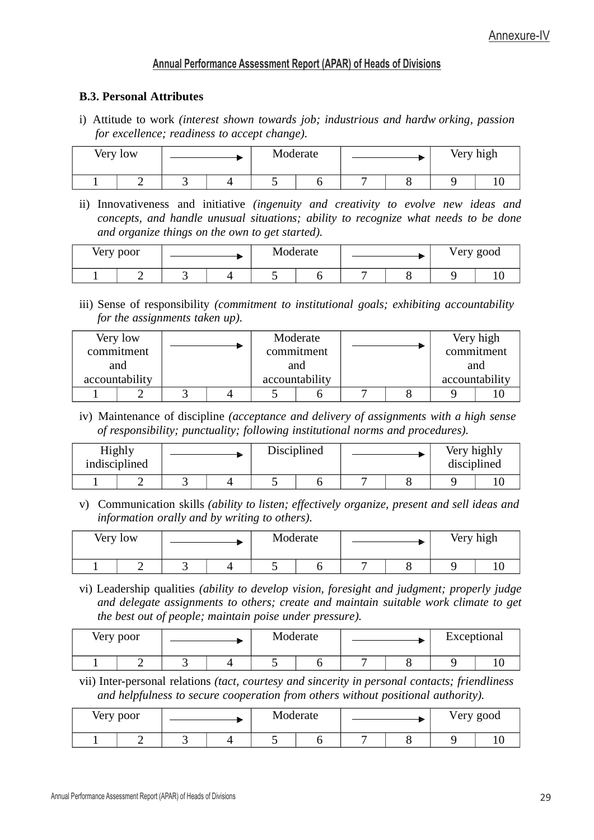### **B.3. Personal Attributes**

i) Attitude to work *(interest shown towards job; industrious and hardw orking, passion for excellence; readiness to accept change).*

| Very low |  |  | Moderate<br>ъ., |  |   | Very high |  |
|----------|--|--|-----------------|--|---|-----------|--|
|          |  |  |                 |  | - |           |  |

ii) Innovativeness and initiative *(ingenuity and creativity to evolve new ideas and concepts, and handle unusual situations; ability to recognize what needs to be done and organize things on the own to get started).*

| Very poor |  |  | Moderate |  |  | Very good |  |
|-----------|--|--|----------|--|--|-----------|--|
|           |  |  |          |  |  |           |  |

iii) Sense of responsibility *(commitment to institutional goals; exhibiting accountability for the assignments taken up).*

|                | Very low   |  | Moderate       |  | Very high      |
|----------------|------------|--|----------------|--|----------------|
|                | commitment |  | commitment     |  | commitment     |
|                | and        |  | and            |  | and            |
| accountability |            |  | accountability |  | accountability |
|                |            |  |                |  |                |

iv) Maintenance of discipline *(acceptance and delivery of assignments with a high sense of responsibility; punctuality; following institutional norms and procedures).*

| Highly<br>indisciplined |  | Disciplined |  |  | Very highly<br>disciplined |  |
|-------------------------|--|-------------|--|--|----------------------------|--|
|                         |  |             |  |  | ັ                          |  |

v) Communication skills *(ability to listen; effectively organize, present and sell ideas and information orally and by writing to others).*

| Very low |   | Moderate |   | Very high |  |
|----------|---|----------|---|-----------|--|
| -        | ້ | ີ        | − | ັ         |  |

vi) Leadership qualities *(ability to develop vision, foresight and judgment; properly judge and delegate assignments to others; create and maintain suitable work climate to get the best out of people; maintain poise under pressure).*

| Very poor |  | Moderate |  | Exceptional |  |
|-----------|--|----------|--|-------------|--|
| -         |  |          |  |             |  |

vii) Inter-personal relations *(tact, courtesy and sincerity in personal contacts; friendliness and helpfulness to secure cooperation from others without positional authority).*

| Very poor | Moderate |  |  | Very good |  |  |  |
|-----------|----------|--|--|-----------|--|--|--|
|           |          |  |  |           |  |  |  |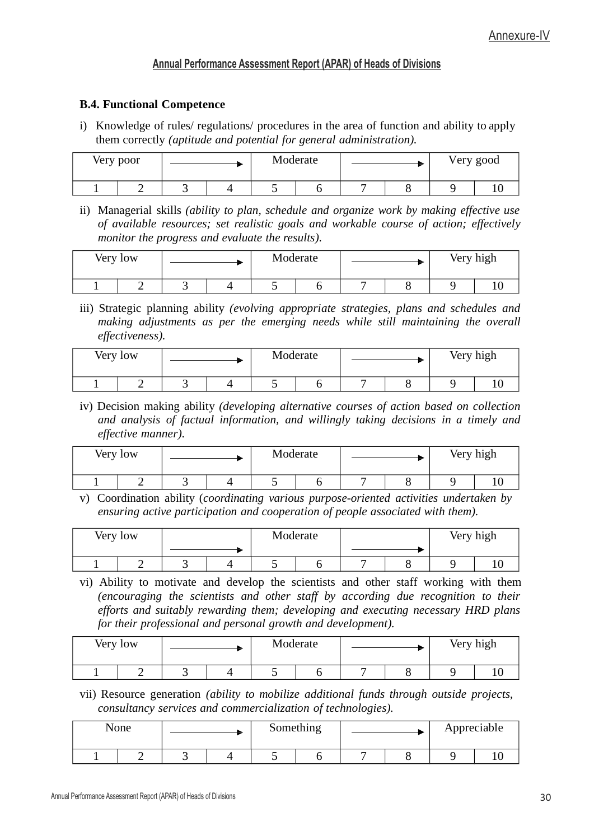#### **B.4. Functional Competence**

i) Knowledge of rules/ regulations/ procedures in the area of function and ability to apply them correctly *(aptitude and potential for general administration).*

| Very poor | Moderate<br>Very good |  |  |  |  |  |  |
|-----------|-----------------------|--|--|--|--|--|--|
|           |                       |  |  |  |  |  |  |

ii) Managerial skills *(ability to plan, schedule and organize work by making effective use of available resources; set realistic goals and workable course of action; effectively monitor the progress and evaluate the results).*

| Very low |   | Moderate |  |   | Very high |  |
|----------|---|----------|--|---|-----------|--|
|          | ◡ |          |  | - |           |  |

iii) Strategic planning ability *(evolving appropriate strategies, plans and schedules and making adjustments as per the emerging needs while still maintaining the overall effectiveness).*

| Very low |  | Very high<br>Moderate |  |  |  |  |  |
|----------|--|-----------------------|--|--|--|--|--|
|          |  |                       |  |  |  |  |  |

iv) Decision making ability *(developing alternative courses of action based on collection and analysis of factual information, and willingly taking decisions in a timely and effective manner).*

| Very low |  |  | Moderate |  | Very high |  |
|----------|--|--|----------|--|-----------|--|
|          |  |  |          |  |           |  |

v) Coordination ability (*coordinating various purpose-oriented activities undertaken by ensuring active participation and cooperation of people associated with them).*

| Very low |        |  |  | Moderate |  | Very high |
|----------|--------|--|--|----------|--|-----------|
|          |        |  |  |          |  |           |
|          | ◡<br>◡ |  |  |          |  |           |

vi) Ability to motivate and develop the scientists and other staff working with them *(encouraging the scientists and other staff by according due recognition to their efforts and suitably rewarding them; developing and executing necessary HRD plans for their professional and personal growth and development).*

| Very low |  | Moderate |  |   | Very high |
|----------|--|----------|--|---|-----------|
|          |  |          |  | ັ |           |

vii) Resource generation *(ability to mobilize additional funds through outside projects, consultancy services and commercialization of technologies).*

| None |  | Something | Appreciable |  |  |  |
|------|--|-----------|-------------|--|--|--|
|      |  |           |             |  |  |  |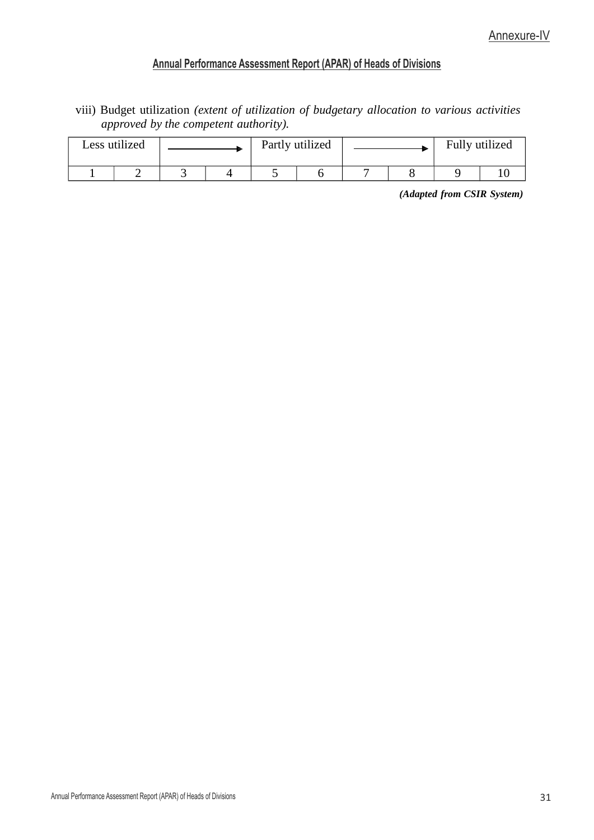viii) Budget utilization *(extent of utilization of budgetary allocation to various activities approved by the competent authority).*

| Less utilized |  | Fully utilized<br>Partly utilized |  |  |  |  |  |
|---------------|--|-----------------------------------|--|--|--|--|--|
|               |  |                                   |  |  |  |  |  |

*(Adapted from CSIR System)*